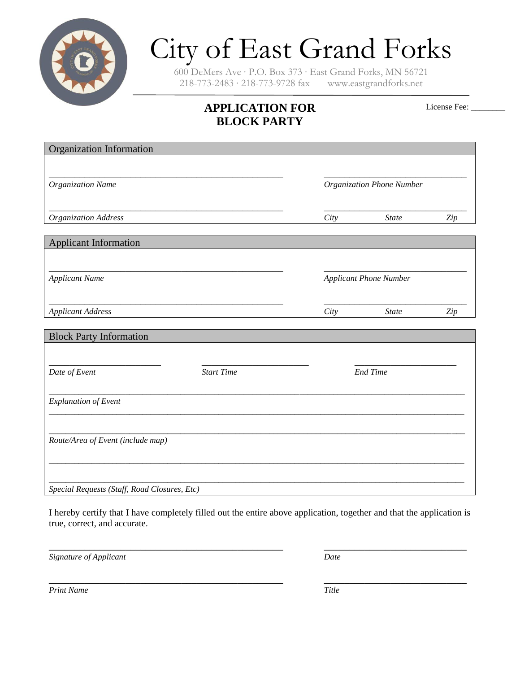

## City of East Grand Forks

600 DeMers Ave ∙ P.O. Box 373 ∙ East Grand Forks, MN 56721 218-773-2483 ∙ 218-773-9728 fax www.eastgrandforks.net

## **APPLICATION FOR BLOCK PARTY**

License Fee: \_\_\_\_\_\_\_\_

| Organization Information                     |                   |                               |                 |                                 |
|----------------------------------------------|-------------------|-------------------------------|-----------------|---------------------------------|
|                                              |                   |                               |                 |                                 |
| <b>Organization Name</b>                     |                   | Organization Phone Number     |                 |                                 |
|                                              |                   |                               |                 |                                 |
| Organization Address                         |                   | City                          | <b>State</b>    | $\mathop{\mathit Zip}\nolimits$ |
| <b>Applicant Information</b>                 |                   |                               |                 |                                 |
|                                              |                   |                               |                 |                                 |
| <b>Applicant Name</b>                        |                   | <b>Applicant Phone Number</b> |                 |                                 |
|                                              |                   |                               |                 |                                 |
| <b>Applicant Address</b>                     |                   | City                          | <b>State</b>    | Zip                             |
| <b>Block Party Information</b>               |                   |                               |                 |                                 |
|                                              |                   |                               |                 |                                 |
| Date of Event                                | <b>Start Time</b> |                               | <b>End Time</b> |                                 |
| <b>Explanation of Event</b>                  |                   |                               |                 |                                 |
|                                              |                   |                               |                 |                                 |
| Route/Area of Event (include map)            |                   |                               |                 |                                 |
|                                              |                   |                               |                 |                                 |
|                                              |                   |                               |                 |                                 |
| Special Requests (Staff, Road Closures, Etc) |                   |                               |                 |                                 |

I hereby certify that I have completely filled out the entire above application, together and that the application is true, correct, and accurate.

\_\_\_\_\_\_\_\_\_\_\_\_\_\_\_\_\_\_\_\_\_\_\_\_\_\_\_\_\_\_\_\_\_\_\_\_\_\_\_\_\_\_\_\_\_\_ \_\_\_\_\_\_\_\_\_\_\_\_\_\_\_\_\_\_\_\_\_\_\_\_\_\_\_\_

*Signature of Applicant Date*

\_\_\_\_\_\_\_\_\_\_\_\_\_\_\_\_\_\_\_\_\_\_\_\_\_\_\_\_\_\_\_\_\_\_\_\_\_\_\_\_\_\_\_\_\_\_ \_\_\_\_\_\_\_\_\_\_\_\_\_\_\_\_\_\_\_\_\_\_\_\_\_\_\_\_

*Print Name Title*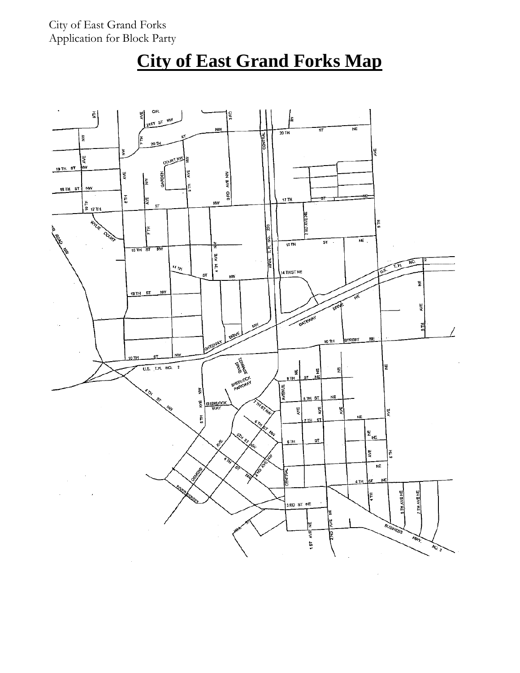City of East Grand Forks Application for Block Party

## **City of East Grand Forks Map**

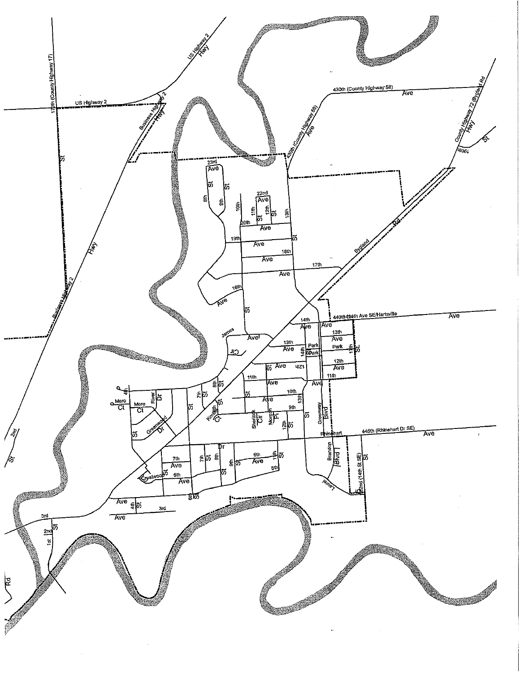